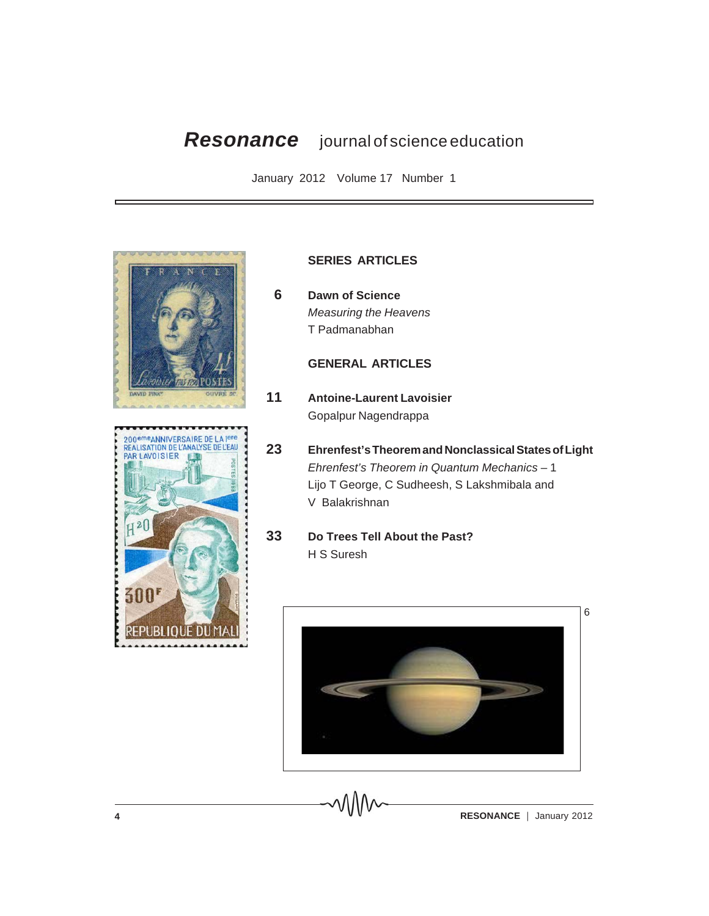# *Resonance* journal of science education

January 2012 Volume 17 Number 1





## **SERIES ARTICLES**

 **6 Dawn of Science** *Measuring the Heavens* T Padmanabhan

## **GENERAL ARTICLES**

- **11 Antoine-Laurent Lavoisier** Gopalpur Nagendrappa
- **23 Ehrenfest's Theorem and Nonclassical States of Light** *Ehrenfest's Theorem in Quantum Mechanics* – 1 Lijo T George, C Sudheesh, S Lakshmibala and V Balakrishnan
- **33 Do Trees Tell About the Past?** H S Suresh